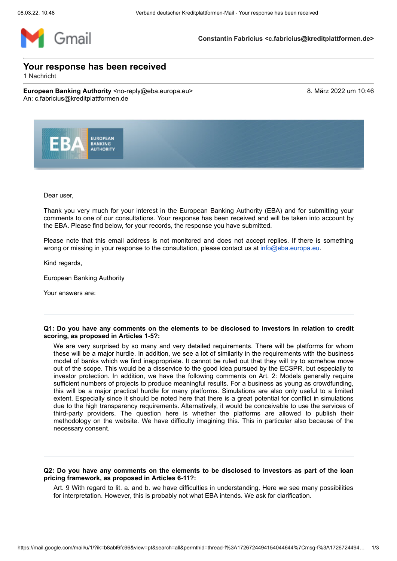

**Constantin Fabricius <c.fabricius@kreditplattformen.de>**

# **Your response has been received**

1 Nachricht

**European Banking Authority** <no-reply@eba.europa.eu> 8. März 2022 um 10:46 An: c.fabricius@kreditplattformen.de



Dear user,

Thank you very much for your interest in the European Banking Authority (EBA) and for submitting your comments to one of our consultations. Your response has been received and will be taken into account by the EBA. Please find below, for your records, the response you have submitted.

Please note that this email address is not monitored and does not accept replies. If there is something wrong or missing in your response to the consultation, please contact us at [info@eba.europa.eu](mailto:info@eba.europa.eu).

Kind regards,

European Banking Authority

Your answers are:

#### **Q1: Do you have any comments on the elements to be disclosed to investors in relation to credit scoring, as proposed in Articles 1-5?:**

We are very surprised by so many and very detailed requirements. There will be platforms for whom these will be a major hurdle. In addition, we see a lot of similarity in the requirements with the business model of banks which we find inappropriate. It cannot be ruled out that they will try to somehow move out of the scope. This would be a disservice to the good idea pursued by the ECSPR, but especially to investor protection. In addition, we have the following comments on Art. 2: Models generally require sufficient numbers of projects to produce meaningful results. For a business as young as crowdfunding, this will be a major practical hurdle for many platforms. Simulations are also only useful to a limited extent. Especially since it should be noted here that there is a great potential for conflict in simulations due to the high transparency requirements. Alternatively, it would be conceivable to use the services of third-party providers. The question here is whether the platforms are allowed to publish their methodology on the website. We have difficulty imagining this. This in particular also because of the necessary consent.

## **Q2: Do you have any comments on the elements to be disclosed to investors as part of the loan pricing framework, as proposed in Articles 6-11?:**

Art. 9 With regard to lit. a. and b. we have difficulties in understanding. Here we see many possibilities for interpretation. However, this is probably not what EBA intends. We ask for clarification.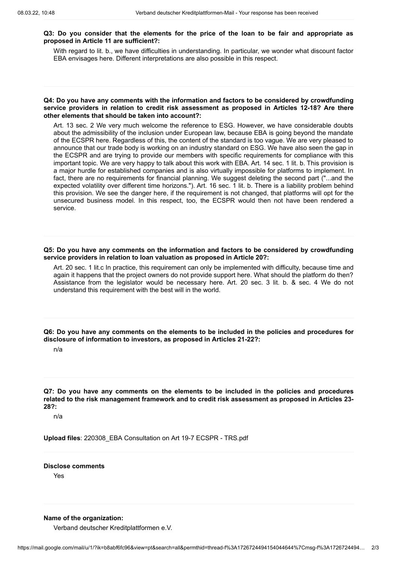## **Q3: Do you consider that the elements for the price of the loan to be fair and appropriate as proposed in Article 11 are sufficient?:**

With regard to lit. b., we have difficulties in understanding. In particular, we wonder what discount factor EBA envisages here. Different interpretations are also possible in this respect.

#### **Q4: Do you have any comments with the information and factors to be considered by crowdfunding service providers in relation to credit risk assessment as proposed in Articles 12-18? Are there other elements that should be taken into account?:**

Art. 13 sec. 2 We very much welcome the reference to ESG. However, we have considerable doubts about the admissibility of the inclusion under European law, because EBA is going beyond the mandate of the ECSPR here. Regardless of this, the content of the standard is too vague. We are very pleased to announce that our trade body is working on an industry standard on ESG. We have also seen the gap in the ECSPR and are trying to provide our members with specific requirements for compliance with this important topic. We are very happy to talk about this work with EBA. Art. 14 sec. 1 lit. b. This provision is a major hurdle for established companies and is also virtually impossible for platforms to implement. In fact, there are no requirements for financial planning. We suggest deleting the second part ("...and the expected volatility over different time horizons."). Art. 16 sec. 1 lit. b. There is a liability problem behind this provision. We see the danger here, if the requirement is not changed, that platforms will opt for the unsecured business model. In this respect, too, the ECSPR would then not have been rendered a service.

**Q5: Do you have any comments on the information and factors to be considered by crowdfunding service providers in relation to loan valuation as proposed in Article 20?:**

Art. 20 sec. 1 lit.c In practice, this requirement can only be implemented with difficulty, because time and again it happens that the project owners do not provide support here. What should the platform do then? Assistance from the legislator would be necessary here. Art. 20 sec. 3 lit. b. & sec. 4 We do not understand this requirement with the best will in the world.

**Q6: Do you have any comments on the elements to be included in the policies and procedures for disclosure of information to investors, as proposed in Articles 21-22?:**

n/a

**Q7: Do you have any comments on the elements to be included in the policies and procedures related to the risk management framework and to credit risk assessment as proposed in Articles 23- 28?:**

n/a

**Upload files**: 220308\_EBA Consultation on Art 19-7 ECSPR - TRS.pdf

**Disclose comments**

Yes

**Name of the organization:**

Verband deutscher Kreditplattformen e.V.